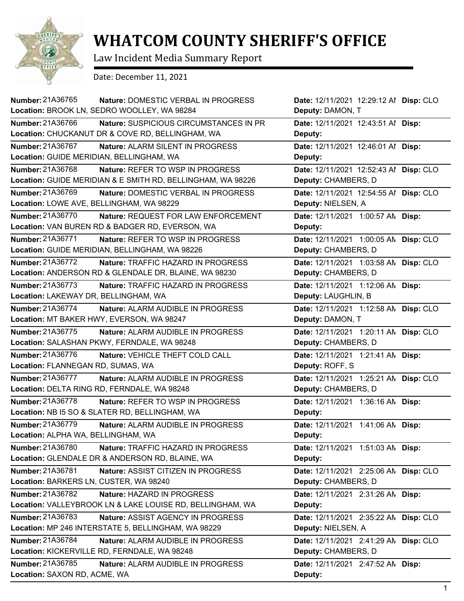

## **WHATCOM COUNTY SHERIFF'S OFFICE**

Law Incident Media Summary Report

Date: December 11, 2021

| <b>Number: 21A36765</b><br>Nature: DOMESTIC VERBAL IN PROGRESS | Date: 12/11/2021 12:29:12 Al Disp: CLO   |
|----------------------------------------------------------------|------------------------------------------|
| Location: BROOK LN, SEDRO WOOLLEY, WA 98284                    | Deputy: DAMON, T                         |
| Number: 21A36766<br>Nature: SUSPICIOUS CIRCUMSTANCES IN PR     | Date: 12/11/2021 12:43:51 Al Disp:       |
| Location: CHUCKANUT DR & COVE RD, BELLINGHAM, WA               | Deputy:                                  |
| Number: 21A36767<br>Nature: ALARM SILENT IN PROGRESS           | Date: 12/11/2021 12:46:01 Al Disp:       |
| Location: GUIDE MERIDIAN, BELLINGHAM, WA                       | Deputy:                                  |
| Number: 21A36768<br>Nature: REFER TO WSP IN PROGRESS           | Date: 12/11/2021 12:52:43 Al Disp: CLO   |
| Location: GUIDE MERIDIAN & E SMITH RD, BELLINGHAM, WA 98226    | Deputy: CHAMBERS, D                      |
| <b>Number: 21A36769</b><br>Nature: DOMESTIC VERBAL IN PROGRESS | Date: 12/11/2021 12:54:55 Al Disp: CLO   |
| Location: LOWE AVE, BELLINGHAM, WA 98229                       | Deputy: NIELSEN, A                       |
| Number: 21A36770<br>Nature: REQUEST FOR LAW ENFORCEMENT        | Date: 12/11/2021 1:00:57 AM<br>Disp:     |
| Location: VAN BUREN RD & BADGER RD, EVERSON, WA                | Deputy:                                  |
| Number: 21A36771<br>Nature: REFER TO WSP IN PROGRESS           | Date: 12/11/2021 1:00:05 AN<br>Disp: CLO |
| Location: GUIDE MERIDIAN, BELLINGHAM, WA 98226                 | Deputy: CHAMBERS, D                      |
| Number: 21A36772<br>Nature: TRAFFIC HAZARD IN PROGRESS         | Date: 12/11/2021 1:03:58 AN<br>Disp: CLO |
| Location: ANDERSON RD & GLENDALE DR, BLAINE, WA 98230          | Deputy: CHAMBERS, D                      |
| Number: 21A36773<br>Nature: TRAFFIC HAZARD IN PROGRESS         | Date: 12/11/2021 1:12:06 AM<br>Disp:     |
| Location: LAKEWAY DR, BELLINGHAM, WA                           | Deputy: LAUGHLIN, B                      |
| Number: 21A36774<br>Nature: ALARM AUDIBLE IN PROGRESS          | Date: 12/11/2021 1:12:58 AM<br>Disp: CLO |
| Location: MT BAKER HWY, EVERSON, WA 98247                      | Deputy: DAMON, T                         |
| Number: 21A36775<br>Nature: ALARM AUDIBLE IN PROGRESS          | Date: 12/11/2021 1:20:11 AM<br>Disp: CLO |
| Location: SALASHAN PKWY, FERNDALE, WA 98248                    | Deputy: CHAMBERS, D                      |
| Number: 21A36776<br>Nature: VEHICLE THEFT COLD CALL            | Date: 12/11/2021 1:21:41 AN Disp:        |
| Location: FLANNEGAN RD, SUMAS, WA                              | Deputy: ROFF, S                          |
| <b>Number: 21A36777</b><br>Nature: ALARM AUDIBLE IN PROGRESS   | Date: 12/11/2021 1:25:21 AM<br>Disp: CLO |
| Location: DELTA RING RD, FERNDALE, WA 98248                    | Deputy: CHAMBERS, D                      |
| Number: 21A36778<br>Nature: REFER TO WSP IN PROGRESS           | Date: 12/11/2021 1:36:16 AN Disp:        |
| Location: NB I5 SO & SLATER RD, BELLINGHAM, WA                 | Deputy:                                  |
| Number: 21A36779<br>Nature: ALARM AUDIBLE IN PROGRESS          | Date: 12/11/2021 1:41:06 AN Disp:        |
| Location: ALPHA WA, BELLINGHAM, WA                             | Deputy:                                  |
| Number: 21A36780<br>Nature: TRAFFIC HAZARD IN PROGRESS         | Date: 12/11/2021 1:51:03 AN Disp:        |
| Location: GLENDALE DR & ANDERSON RD, BLAINE, WA                | Deputy:                                  |
| Number: 21A36781<br>Nature: ASSIST CITIZEN IN PROGRESS         | Date: 12/11/2021 2:25:06 AM<br>Disp: CLO |
| Location: BARKERS LN, CUSTER, WA 98240                         | Deputy: CHAMBERS, D                      |
| Number: 21A36782<br>Nature: HAZARD IN PROGRESS                 | Date: 12/11/2021 2:31:26 AM<br>Disp:     |
| Location: VALLEYBROOK LN & LAKE LOUISE RD, BELLINGHAM, WA      | Deputy:                                  |
| Number: 21A36783<br>Nature: ASSIST AGENCY IN PROGRESS          | Date: 12/11/2021 2:35:22 AM<br>Disp: CLO |
| Location: MP 246 INTERSTATE 5, BELLINGHAM, WA 98229            | Deputy: NIELSEN, A                       |
| Number: 21A36784<br>Nature: ALARM AUDIBLE IN PROGRESS          | Disp: CLO<br>Date: 12/11/2021 2:41:29 AN |
| Location: KICKERVILLE RD, FERNDALE, WA 98248                   | Deputy: CHAMBERS, D                      |
| Number: 21A36785<br>Nature: ALARM AUDIBLE IN PROGRESS          | Date: 12/11/2021 2:47:52 AM<br>Disp:     |
| Location: SAXON RD, ACME, WA                                   | Deputy:                                  |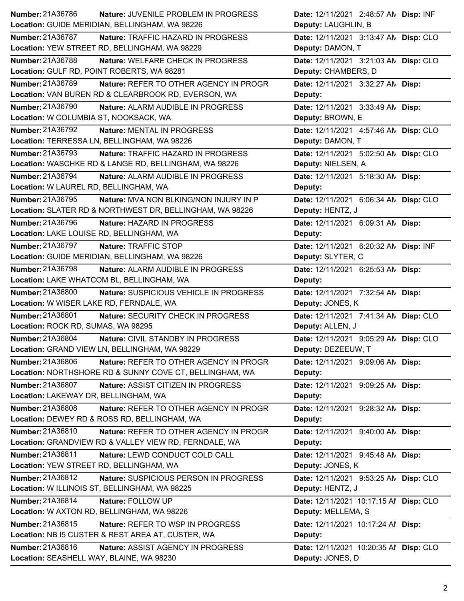| Number: 21A36786<br>Nature: JUVENILE PROBLEM IN PROGRESS            | Date: 12/11/2021 2:48:57 AN Disp: INF   |
|---------------------------------------------------------------------|-----------------------------------------|
| Location: GUIDE MERIDIAN, BELLINGHAM, WA 98226                      | Deputy: LAUGHLIN, B                     |
| <b>Number: 21A36787</b><br>Nature: TRAFFIC HAZARD IN PROGRESS       | Date: 12/11/2021 3:13:47 AN Disp: CLO   |
| Location: YEW STREET RD, BELLINGHAM, WA 98229                       | Deputy: DAMON, T                        |
| Number: 21A36788<br>Nature: WELFARE CHECK IN PROGRESS               | Date: 12/11/2021 3:21:03 AN Disp: CLO   |
| Location: GULF RD, POINT ROBERTS, WA 98281                          | Deputy: CHAMBERS, D                     |
| Number: 21A36789<br>Nature: REFER TO OTHER AGENCY IN PROGR          | Date: 12/11/2021 3:32:27 AN Disp:       |
| Location: VAN BUREN RD & CLEARBROOK RD, EVERSON, WA                 | Deputy:                                 |
| <b>Number: 21A36790</b><br>Nature: ALARM AUDIBLE IN PROGRESS        | Date: 12/11/2021 3:33:49 AM Disp:       |
| Location: W COLUMBIA ST, NOOKSACK, WA                               | Deputy: BROWN, E                        |
| Number: 21A36792<br>Nature: MENTAL IN PROGRESS                      | Date: 12/11/2021  4:57:46 AN  Disp: CLO |
| Location: TERRESSA LN, BELLINGHAM, WA 98226                         | Deputy: DAMON, T                        |
| Number: 21A36793<br>Nature: TRAFFIC HAZARD IN PROGRESS              | Date: 12/11/2021 5:02:50 AN Disp: CLO   |
| Location: WASCHKE RD & LANGE RD, BELLINGHAM, WA 98226               | Deputy: NIELSEN, A                      |
| Number: 21A36794<br>Nature: ALARM AUDIBLE IN PROGRESS               | Date: 12/11/2021 5:18:30 AN Disp:       |
| Location: W LAUREL RD, BELLINGHAM, WA                               | Deputy:                                 |
| Number: 21A36795<br>Nature: MVA NON BLKING/NON INJURY IN P          | Date: 12/11/2021 6:06:34 AN Disp: CLO   |
| Location: SLATER RD & NORTHWEST DR, BELLINGHAM, WA 98226            | Deputy: HENTZ, J                        |
| Number: 21A36796<br>Nature: HAZARD IN PROGRESS                      | Date: 12/11/2021 6:09:31 AN Disp:       |
| Location: LAKE LOUISE RD, BELLINGHAM, WA                            | Deputy:                                 |
| Number: 21A36797<br>Nature: TRAFFIC STOP                            | Date: 12/11/2021 6:20:32 AN Disp: INF   |
| Location: GUIDE MERIDIAN, BELLINGHAM, WA 98226                      | Deputy: SLYTER, C                       |
| Number: 21A36798<br>Nature: ALARM AUDIBLE IN PROGRESS               | Date: 12/11/2021 6:25:53 AN Disp:       |
| Location: LAKE WHATCOM BL, BELLINGHAM, WA                           | Deputy:                                 |
|                                                                     |                                         |
| <b>Number: 21A36800</b><br>Nature: SUSPICIOUS VEHICLE IN PROGRESS   | Date: 12/11/2021 7:32:54 AN Disp:       |
| Location: W WISER LAKE RD, FERNDALE, WA                             | Deputy: JONES, K                        |
| Number: 21A36801<br>Nature: SECURITY CHECK IN PROGRESS              | Date: 12/11/2021 7:41:34 AN Disp: CLO   |
| Location: ROCK RD, SUMAS, WA 98295                                  | Deputy: ALLEN, J                        |
| <b>Number: 21A36804</b><br><b>Nature: CIVIL STANDBY IN PROGRESS</b> | Date: 12/11/2021 9:05:29 AN Disp: CLO   |
| Location: GRAND VIEW LN, BELLINGHAM, WA 98229                       | Deputy: DEZEEUW, T                      |
| Number: 21A36806<br>Nature: REFER TO OTHER AGENCY IN PROGR          | Date: 12/11/2021 9:09:06 AN Disp:       |
| Location: NORTHSHORE RD & SUNNY COVE CT, BELLINGHAM, WA             | Deputy:                                 |
| Number: 21A36807<br>Nature: ASSIST CITIZEN IN PROGRESS              | Date: 12/11/2021 9:09:25 AN Disp:       |
| Location: LAKEWAY DR, BELLINGHAM, WA                                | Deputy:                                 |
| Number: 21A36808<br>Nature: REFER TO OTHER AGENCY IN PROGR          | Date: 12/11/2021 9:28:32 AN Disp:       |
| Location: DEWEY RD & ROSS RD, BELLINGHAM, WA                        | Deputy:                                 |
| Number: 21A36810<br>Nature: REFER TO OTHER AGENCY IN PROGR          | Date: 12/11/2021 9:40:00 AM Disp:       |
| Location: GRANDVIEW RD & VALLEY VIEW RD, FERNDALE, WA               | Deputy:                                 |
| Number: 21A36811<br>Nature: LEWD CONDUCT COLD CALL                  | Date: 12/11/2021 9:45:48 AN Disp:       |
| Location: YEW STREET RD, BELLINGHAM, WA                             | Deputy: JONES, K                        |
| Number: 21A36812<br>Nature: SUSPICIOUS PERSON IN PROGRESS           | Date: 12/11/2021 9:53:25 AN Disp: CLO   |
| Location: W ILLINOIS ST, BELLINGHAM, WA 98225                       | Deputy: HENTZ, J                        |
| Number: 21A36814<br>Nature: FOLLOW UP                               | Date: 12/11/2021 10:17:15 Al Disp: CLO  |
| Location: W AXTON RD, BELLINGHAM, WA 98226                          | Deputy: MELLEMA, S                      |
| Number: 21A36815<br>Nature: REFER TO WSP IN PROGRESS                | Date: 12/11/2021 10:17:24 Al Disp:      |
| Location: NB I5 CUSTER & REST AREA AT, CUSTER, WA                   | Deputy:                                 |
| Number: 21A36816<br>Nature: ASSIST AGENCY IN PROGRESS               | Date: 12/11/2021 10:20:35 Al Disp: CLO  |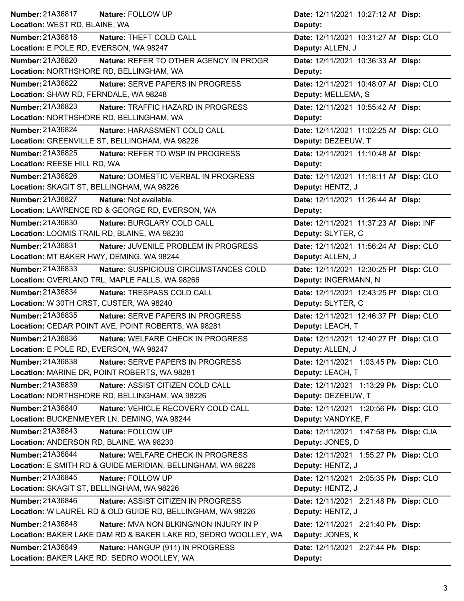| <b>Number: 21A36817</b><br>Nature: FOLLOW UP                   | Date: 12/11/2021 10:27:12 Al Disp:     |
|----------------------------------------------------------------|----------------------------------------|
| Location: WEST RD, BLAINE, WA                                  | Deputy:                                |
| Number: 21A36818<br>Nature: THEFT COLD CALL                    | Date: 12/11/2021 10:31:27 Al Disp: CLO |
| Location: E POLE RD, EVERSON, WA 98247                         | Deputy: ALLEN, J                       |
| Number: 21A36820<br>Nature: REFER TO OTHER AGENCY IN PROGR     | Date: 12/11/2021 10:36:33 Al Disp:     |
| Location: NORTHSHORE RD, BELLINGHAM, WA                        | Deputy:                                |
| <b>Number: 21A36822</b><br>Nature: SERVE PAPERS IN PROGRESS    | Date: 12/11/2021 10:48:07 Al Disp: CLO |
| Location: SHAW RD, FERNDALE, WA 98248                          | Deputy: MELLEMA, S                     |
| Number: 21A36823<br>Nature: TRAFFIC HAZARD IN PROGRESS         | Date: 12/11/2021 10:55:42 Al Disp:     |
| Location: NORTHSHORE RD, BELLINGHAM, WA                        | Deputy:                                |
| Number: 21A36824<br>Nature: HARASSMENT COLD CALL               | Date: 12/11/2021 11:02:25 Al Disp: CLO |
| Location: GREENVILLE ST, BELLINGHAM, WA 98226                  | Deputy: DEZEEUW, T                     |
| Number: 21A36825<br><b>Nature: REFER TO WSP IN PROGRESS</b>    | Date: 12/11/2021 11:10:48 Al Disp:     |
| Location: REESE HILL RD, WA                                    | Deputy:                                |
| Number: 21A36826<br>Nature: DOMESTIC VERBAL IN PROGRESS        | Date: 12/11/2021 11:18:11 Al Disp: CLO |
| Location: SKAGIT ST, BELLINGHAM, WA 98226                      | Deputy: HENTZ, J                       |
| <b>Number: 21A36827</b><br>Nature: Not available.              | Date: 12/11/2021 11:26:44 Al Disp:     |
| Location: LAWRENCE RD & GEORGE RD, EVERSON, WA                 | Deputy:                                |
| Number: 21A36830<br>Nature: BURGLARY COLD CALL                 | Date: 12/11/2021 11:37:23 Al Disp: INF |
| Location: LOOMIS TRAIL RD, BLAINE, WA 98230                    | Deputy: SLYTER, C                      |
| Number: 21A36831<br>Nature: JUVENILE PROBLEM IN PROGRESS       | Date: 12/11/2021 11:56:24 Al Disp: CLO |
| Location: MT BAKER HWY, DEMING, WA 98244                       | Deputy: ALLEN, J                       |
| Number: 21A36833<br>Nature: SUSPICIOUS CIRCUMSTANCES COLD      | Date: 12/11/2021 12:30:25 PI Disp: CLO |
| Location: OVERLAND TRL, MAPLE FALLS, WA 98266                  | Deputy: INGERMANN, N                   |
| Number: 21A36834<br>Nature: TRESPASS COLD CALL                 | Date: 12/11/2021 12:43:25 PI Disp: CLO |
| Location: W 30TH CRST, CUSTER, WA 98240                        | Deputy: SLYTER, C                      |
| Number: 21A36835<br>Nature: SERVE PAPERS IN PROGRESS           | Date: 12/11/2021 12:46:37 PI Disp: CLO |
| Location: CEDAR POINT AVE, POINT ROBERTS, WA 98281             | Deputy: LEACH, T                       |
| Number: 21A36836<br>Nature: WELFARE CHECK IN PROGRESS          | Date: 12/11/2021 12:40:27 PI Disp: CLO |
| Location: E POLE RD, EVERSON, WA 98247                         | Deputy: ALLEN, J                       |
| Number: 21A36838<br>Nature: SERVE PAPERS IN PROGRESS           | Date: 12/11/2021 1:03:45 PM Disp: CLO  |
| Location: MARINE DR, POINT ROBERTS, WA 98281                   | Deputy: LEACH, T                       |
| Number: 21A36839<br>Nature: ASSIST CITIZEN COLD CALL           | Date: 12/11/2021 1:13:29 PN Disp: CLO  |
| Location: NORTHSHORE RD, BELLINGHAM, WA 98226                  | Deputy: DEZEEUW, T                     |
| Number: 21A36840<br>Nature: VEHICLE RECOVERY COLD CALL         | Date: 12/11/2021 1:20:56 PN Disp: CLO  |
| Location: BUCKENMEYER LN, DEMING, WA 98244                     | Deputy: VANDYKE, F                     |
| Number: 21A36843<br>Nature: FOLLOW UP                          | Date: 12/11/2021 1:47:58 PM Disp: CJA  |
| Location: ANDERSON RD, BLAINE, WA 98230                        | Deputy: JONES, D                       |
| Number: 21A36844<br>Nature: WELFARE CHECK IN PROGRESS          | Date: 12/11/2021 1:55:27 PM Disp: CLO  |
| Location: E SMITH RD & GUIDE MERIDIAN, BELLINGHAM, WA 98226    | Deputy: HENTZ, J                       |
| <b>Number: 21A36845</b><br>Nature: FOLLOW UP                   | Date: 12/11/2021 2:05:35 PM Disp: CLO  |
| Location: SKAGIT ST, BELLINGHAM, WA 98226                      | Deputy: HENTZ, J                       |
| Number: 21A36846<br>Nature: ASSIST CITIZEN IN PROGRESS         | Date: 12/11/2021 2:21:48 PM Disp: CLO  |
| Location: W LAUREL RD & OLD GUIDE RD, BELLINGHAM, WA 98226     | Deputy: HENTZ, J                       |
| Number: 21A36848<br>Nature: MVA NON BLKING/NON INJURY IN P     | Date: 12/11/2021 2:21:40 PM Disp:      |
| Location: BAKER LAKE DAM RD & BAKER LAKE RD, SEDRO WOOLLEY, WA | Deputy: JONES, K                       |
| <b>Number: 21A36849</b><br>Nature: HANGUP (911) IN PROGRESS    | Date: 12/11/2021 2:27:44 PM Disp:      |
| Location: BAKER LAKE RD, SEDRO WOOLLEY, WA                     | Deputy:                                |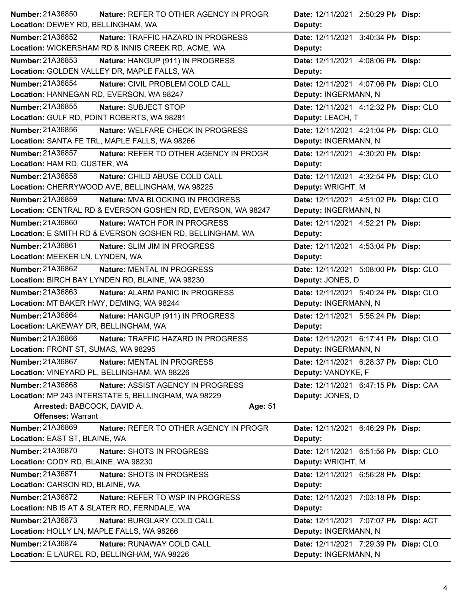| <b>Number: 21A36850</b>                   | Nature: REFER TO OTHER AGENCY IN PROGR                      | Date: 12/11/2021 2:50:29 PM Disp:     |
|-------------------------------------------|-------------------------------------------------------------|---------------------------------------|
| Location: DEWEY RD, BELLINGHAM, WA        |                                                             | Deputy:                               |
| <b>Number: 21A36852</b>                   | Nature: TRAFFIC HAZARD IN PROGRESS                          | Date: 12/11/2021 3:40:34 PM Disp:     |
|                                           | Location: WICKERSHAM RD & INNIS CREEK RD, ACME, WA          | Deputy:                               |
| Number: 21A36853                          | Nature: HANGUP (911) IN PROGRESS                            | Date: 12/11/2021 4:08:06 PM Disp:     |
|                                           | Location: GOLDEN VALLEY DR, MAPLE FALLS, WA                 | Deputy:                               |
| <b>Number: 21A36854</b>                   | Nature: CIVIL PROBLEM COLD CALL                             | Date: 12/11/2021 4:07:06 PN Disp: CLO |
|                                           | Location: HANNEGAN RD, EVERSON, WA 98247                    | Deputy: INGERMANN, N                  |
| Number: 21A36855                          | Nature: SUBJECT STOP                                        | Date: 12/11/2021 4:12:32 PM Disp: CLO |
|                                           | Location: GULF RD, POINT ROBERTS, WA 98281                  | Deputy: LEACH, T                      |
| Number: 21A36856                          | Nature: WELFARE CHECK IN PROGRESS                           | Date: 12/11/2021 4:21:04 PM Disp: CLO |
|                                           | Location: SANTA FE TRL, MAPLE FALLS, WA 98266               | Deputy: INGERMANN, N                  |
| Number: 21A36857                          | Nature: REFER TO OTHER AGENCY IN PROGR                      | Date: 12/11/2021 4:30:20 PM Disp:     |
| Location: HAM RD, CUSTER, WA              |                                                             | Deputy:                               |
| Number: 21A36858                          | Nature: CHILD ABUSE COLD CALL                               | Date: 12/11/2021 4:32:54 PM Disp: CLO |
|                                           | Location: CHERRYWOOD AVE, BELLINGHAM, WA 98225              | Deputy: WRIGHT, M                     |
| <b>Number: 21A36859</b>                   | <b>Nature: MVA BLOCKING IN PROGRESS</b>                     | Date: 12/11/2021 4:51:02 PN Disp: CLO |
|                                           | Location: CENTRAL RD & EVERSON GOSHEN RD, EVERSON, WA 98247 | Deputy: INGERMANN, N                  |
| Number: 21A36860                          | Nature: WATCH FOR IN PROGRESS                               | Date: 12/11/2021 4:52:21 PM Disp:     |
|                                           | Location: E SMITH RD & EVERSON GOSHEN RD, BELLINGHAM, WA    | Deputy:                               |
| Number: 21A36861                          | Nature: SLIM JIM IN PROGRESS                                | Date: 12/11/2021 4:53:04 PM Disp:     |
| Location: MEEKER LN, LYNDEN, WA           |                                                             | Deputy:                               |
| Number: 21A36862                          | Nature: MENTAL IN PROGRESS                                  | Date: 12/11/2021 5:08:00 PN Disp: CLO |
|                                           | Location: BIRCH BAY LYNDEN RD, BLAINE, WA 98230             | Deputy: JONES, D                      |
| Number: 21A36863                          | Nature: ALARM PANIC IN PROGRESS                             | Date: 12/11/2021 5:40:24 PN Disp: CLO |
| Location: MT BAKER HWY, DEMING, WA 98244  |                                                             | Deputy: INGERMANN, N                  |
| Number: 21A36864                          | Nature: HANGUP (911) IN PROGRESS                            | Date: 12/11/2021 5:55:24 PM Disp:     |
| Location: LAKEWAY DR, BELLINGHAM, WA      |                                                             | Deputy:                               |
| Number: 21A36866                          | Nature: TRAFFIC HAZARD IN PROGRESS                          | Date: 12/11/2021 6:17:41 PM Disp: CLO |
| Location: FRONT ST, SUMAS, WA 98295       |                                                             | Deputy: INGERMANN, N                  |
| <b>Number: 21A36867</b>                   | Nature: MENTAL IN PROGRESS                                  | Date: 12/11/2021 6:28:37 PM Disp: CLO |
|                                           | Location: VINEYARD PL, BELLINGHAM, WA 98226                 | Deputy: VANDYKE, F                    |
| Number: 21A36868                          | Nature: ASSIST AGENCY IN PROGRESS                           | Date: 12/11/2021 6:47:15 PN Disp: CAA |
|                                           | Location: MP 243 INTERSTATE 5, BELLINGHAM, WA 98229         | Deputy: JONES, D                      |
| Arrested: BABCOCK, DAVID A.               | Age: 51                                                     |                                       |
| <b>Offenses: Warrant</b>                  |                                                             |                                       |
| Number: 21A36869                          | Nature: REFER TO OTHER AGENCY IN PROGR                      | Date: 12/11/2021 6:46:29 PM Disp:     |
| Location: EAST ST, BLAINE, WA             |                                                             | Deputy:                               |
| Number: 21A36870                          | Nature: SHOTS IN PROGRESS                                   | Date: 12/11/2021 6:51:56 PM Disp: CLO |
| Location: CODY RD, BLAINE, WA 98230       |                                                             | Deputy: WRIGHT, M                     |
| Number: 21A36871                          | Nature: SHOTS IN PROGRESS                                   | Date: 12/11/2021 6:56:28 PM Disp:     |
| Location: CARSON RD, BLAINE, WA           |                                                             | Deputy:                               |
| Number: 21A36872                          | Nature: REFER TO WSP IN PROGRESS                            | Date: 12/11/2021 7:03:18 PM Disp:     |
|                                           | Location: NB I5 AT & SLATER RD, FERNDALE, WA                | Deputy:                               |
| Number: 21A36873                          | Nature: BURGLARY COLD CALL                                  | Date: 12/11/2021 7:07:07 PM Disp: ACT |
| Location: HOLLY LN, MAPLE FALLS, WA 98266 |                                                             | Deputy: INGERMANN, N                  |
| Number: 21A36874                          | Nature: RUNAWAY COLD CALL                                   | Date: 12/11/2021 7:29:39 PM Disp: CLO |
|                                           | Location: E LAUREL RD, BELLINGHAM, WA 98226                 | Deputy: INGERMANN, N                  |